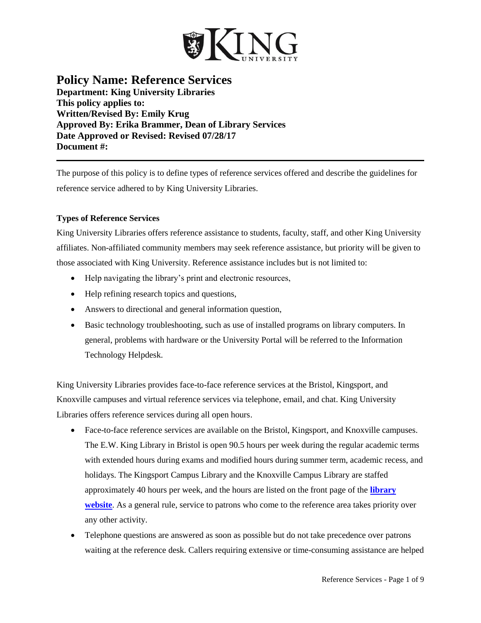

# **Policy Name: Reference Services Department: King University Libraries This policy applies to: Written/Revised By: Emily Krug Approved By: Erika Brammer, Dean of Library Services Date Approved or Revised: Revised 07/28/17 Document #:**

The purpose of this policy is to define types of reference services offered and describe the guidelines for reference service adhered to by King University Libraries.

# **Types of Reference Services**

King University Libraries offers reference assistance to students, faculty, staff, and other King University affiliates. Non-affiliated community members may seek reference assistance, but priority will be given to those associated with King University. Reference assistance includes but is not limited to:

- Help navigating the library's print and electronic resources,
- Help refining research topics and questions,
- Answers to directional and general information question,
- Basic technology troubleshooting, such as use of installed programs on library computers. In general, problems with hardware or the University Portal will be referred to the Information Technology Helpdesk.

King University Libraries provides face-to-face reference services at the Bristol, Kingsport, and Knoxville campuses and virtual reference services via telephone, email, and chat. King University Libraries offers reference services during all open hours.

- Face-to-face reference services are available on the Bristol, Kingsport, and Knoxville campuses. The E.W. King Library in Bristol is open 90.5 hours per week during the regular academic terms with extended hours during exams and modified hours during summer term, academic recess, and holidays. The Kingsport Campus Library and the Knoxville Campus Library are staffed approximately 40 hours per week, and the hours are listed on the front page of the **[library](http://library.king.edu/)  [website](http://library.king.edu/)**. As a general rule, service to patrons who come to the reference area takes priority over any other activity.
- Telephone questions are answered as soon as possible but do not take precedence over patrons waiting at the reference desk. Callers requiring extensive or time-consuming assistance are helped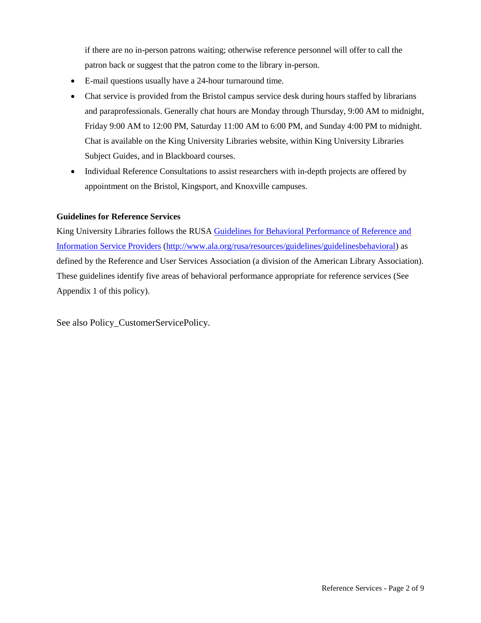if there are no in-person patrons waiting; otherwise reference personnel will offer to call the patron back or suggest that the patron come to the library in-person.

- E-mail questions usually have a 24-hour turnaround time.
- Chat service is provided from the Bristol campus service desk during hours staffed by librarians and paraprofessionals. Generally chat hours are Monday through Thursday, 9:00 AM to midnight, Friday 9:00 AM to 12:00 PM, Saturday 11:00 AM to 6:00 PM, and Sunday 4:00 PM to midnight. Chat is available on the King University Libraries website, within King University Libraries Subject Guides, and in Blackboard courses.
- Individual Reference Consultations to assist researchers with in-depth projects are offered by appointment on the Bristol, Kingsport, and Knoxville campuses.

## **Guidelines for Reference Services**

King University Libraries follows the RUSA [Guidelines for Behavioral Performance of Reference and](http://www.ala.org/rusa/resources/guidelines/guidelinesbehavioral)  [Information Service Providers](http://www.ala.org/rusa/resources/guidelines/guidelinesbehavioral) [\(http://www.ala.org/rusa/resources/guidelines/guidelinesbehavioral\)](http://www.ala.org/rusa/resources/guidelines/guidelinesbehavioral) as defined by the Reference and User Services Association (a division of the American Library Association). These guidelines identify five areas of behavioral performance appropriate for reference services (See Appendix 1 of this policy).

See also Policy\_CustomerServicePolicy.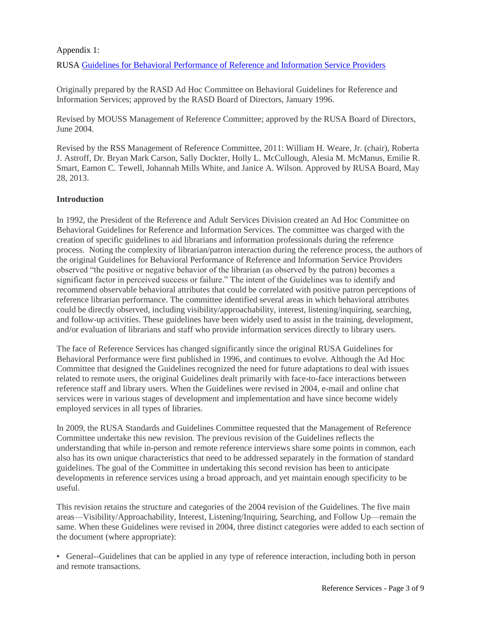## Appendix 1:

RUSA [Guidelines for Behavioral Performance of Reference and Information Service Providers](http://www.ala.org/rusa/resources/guidelines/guidelinesbehavioral)

Originally prepared by the RASD Ad Hoc Committee on Behavioral Guidelines for Reference and Information Services; approved by the RASD Board of Directors, January 1996.

Revised by MOUSS Management of Reference Committee; approved by the RUSA Board of Directors, June 2004.

Revised by the RSS Management of Reference Committee, 2011: William H. Weare, Jr. (chair), Roberta J. Astroff, Dr. Bryan Mark Carson, Sally Dockter, Holly L. McCullough, Alesia M. McManus, Emilie R. Smart, Eamon C. Tewell, Johannah Mills White, and Janice A. Wilson. Approved by RUSA Board, May 28, 2013.

## **Introduction**

In 1992, the President of the Reference and Adult Services Division created an Ad Hoc Committee on Behavioral Guidelines for Reference and Information Services. The committee was charged with the creation of specific guidelines to aid librarians and information professionals during the reference process. Noting the complexity of librarian/patron interaction during the reference process, the authors of the original Guidelines for Behavioral Performance of Reference and Information Service Providers observed "the positive or negative behavior of the librarian (as observed by the patron) becomes a significant factor in perceived success or failure." The intent of the Guidelines was to identify and recommend observable behavioral attributes that could be correlated with positive patron perceptions of reference librarian performance. The committee identified several areas in which behavioral attributes could be directly observed, including visibility/approachability, interest, listening/inquiring, searching, and follow-up activities. These guidelines have been widely used to assist in the training, development, and/or evaluation of librarians and staff who provide information services directly to library users.

The face of Reference Services has changed significantly since the original RUSA Guidelines for Behavioral Performance were first published in 1996, and continues to evolve. Although the Ad Hoc Committee that designed the Guidelines recognized the need for future adaptations to deal with issues related to remote users, the original Guidelines dealt primarily with face-to-face interactions between reference staff and library users. When the Guidelines were revised in 2004, e-mail and online chat services were in various stages of development and implementation and have since become widely employed services in all types of libraries.

In 2009, the RUSA Standards and Guidelines Committee requested that the Management of Reference Committee undertake this new revision. The previous revision of the Guidelines reflects the understanding that while in-person and remote reference interviews share some points in common, each also has its own unique characteristics that need to be addressed separately in the formation of standard guidelines. The goal of the Committee in undertaking this second revision has been to anticipate developments in reference services using a broad approach, and yet maintain enough specificity to be useful.

This revision retains the structure and categories of the 2004 revision of the Guidelines. The five main areas—Visibility/Approachability, Interest, Listening/Inquiring, Searching, and Follow Up—remain the same. When these Guidelines were revised in 2004, three distinct categories were added to each section of the document (where appropriate):

• General--Guidelines that can be applied in any type of reference interaction, including both in person and remote transactions.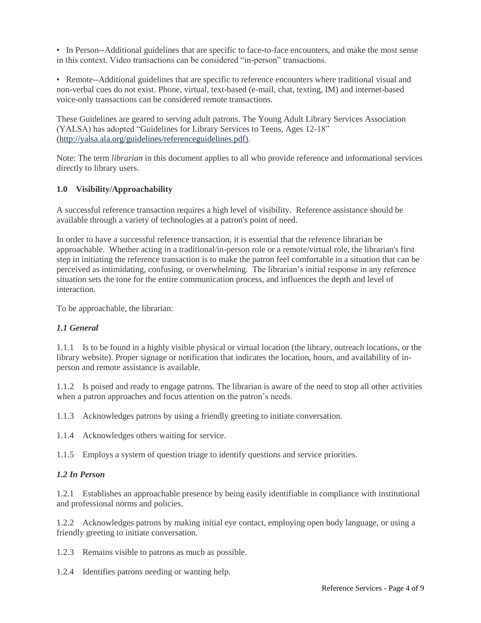• In Person--Additional guidelines that are specific to face-to-face encounters, and make the most sense in this context. Video transactions can be considered "in-person" transactions.

• Remote--Additional guidelines that are specific to reference encounters where traditional visual and non-verbal cues do not exist. Phone, virtual, text-based (e-mail, chat, texting, IM) and internet-based voice-only transactions can be considered remote transactions.

These Guidelines are geared to serving adult patrons. The Young Adult Library Services Association (YALSA) has adopted "Guidelines for Library Services to Teens, Ages 12-18" [\(http://yalsa.ala.org/guidelines/referenceguidelines.pdf\)](http://yalsa.ala.org/guidelines/referenceguidelines.pdf).

Note: The term *librarian* in this document applies to all who provide reference and informational services directly to library users.

## **1.0 Visibility/Approachability**

A successful reference transaction requires a high level of visibility. Reference assistance should be available through a variety of technologies at a patron's point of need.

In order to have a successful reference transaction, it is essential that the reference librarian be approachable. Whether acting in a traditional/in-person role or a remote/virtual role, the librarian's first step in initiating the reference transaction is to make the patron feel comfortable in a situation that can be perceived as intimidating, confusing, or overwhelming. The librarian's initial response in any reference situation sets the tone for the entire communication process, and influences the depth and level of interaction.

To be approachable, the librarian:

## *1.1 General*

1.1.1 Is to be found in a highly visible physical or virtual location (the library, outreach locations, or the library website). Proper signage or notification that indicates the location, hours, and availability of inperson and remote assistance is available.

1.1.2 Is poised and ready to engage patrons. The librarian is aware of the need to stop all other activities when a patron approaches and focus attention on the patron's needs.

1.1.3 Acknowledges patrons by using a friendly greeting to initiate conversation.

1.1.4 Acknowledges others waiting for service.

1.1.5 Employs a system of question triage to identify questions and service priorities.

## *1.2 In Person*

1.2.1 Establishes an approachable presence by being easily identifiable in compliance with institutional and professional norms and policies.

1.2.2 Acknowledges patrons by making initial eye contact, employing open body language, or using a friendly greeting to initiate conversation.

1.2.3 Remains visible to patrons as much as possible.

1.2.4 Identifies patrons needing or wanting help.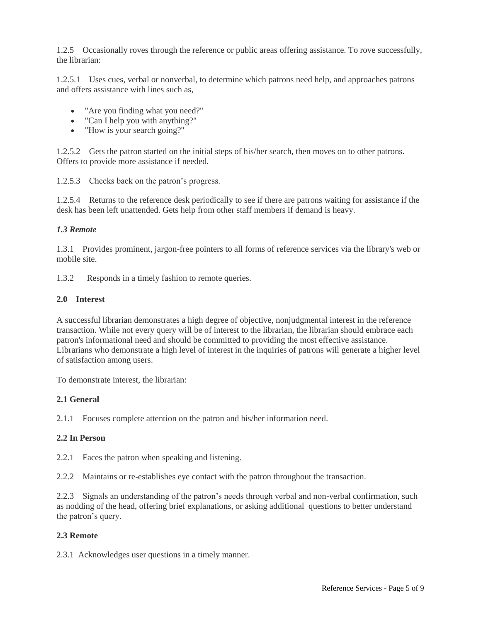1.2.5 Occasionally roves through the reference or public areas offering assistance. To rove successfully, the librarian:

1.2.5.1 Uses cues, verbal or nonverbal, to determine which patrons need help, and approaches patrons and offers assistance with lines such as,

- "Are you finding what you need?"
- "Can I help you with anything?"
- "How is your search going?"

1.2.5.2 Gets the patron started on the initial steps of his/her search, then moves on to other patrons. Offers to provide more assistance if needed.

1.2.5.3 Checks back on the patron's progress.

1.2.5.4 Returns to the reference desk periodically to see if there are patrons waiting for assistance if the desk has been left unattended. Gets help from other staff members if demand is heavy.

## *1.3 Remote*

1.3.1 Provides prominent, jargon-free pointers to all forms of reference services via the library's web or mobile site.

1.3.2 Responds in a timely fashion to remote queries.

## **2.0 Interest**

A successful librarian demonstrates a high degree of objective, nonjudgmental interest in the reference transaction. While not every query will be of interest to the librarian, the librarian should embrace each patron's informational need and should be committed to providing the most effective assistance. Librarians who demonstrate a high level of interest in the inquiries of patrons will generate a higher level of satisfaction among users.

To demonstrate interest, the librarian:

## **2.1 General**

2.1.1 Focuses complete attention on the patron and his/her information need.

## **2.2 In Person**

2.2.1 Faces the patron when speaking and listening.

2.2.2 Maintains or re-establishes eye contact with the patron throughout the transaction.

2.2.3 Signals an understanding of the patron's needs through verbal and non-verbal confirmation, such as nodding of the head, offering brief explanations, or asking additional questions to better understand the patron's query.

## **2.3 Remote**

2.3.1 Acknowledges user questions in a timely manner.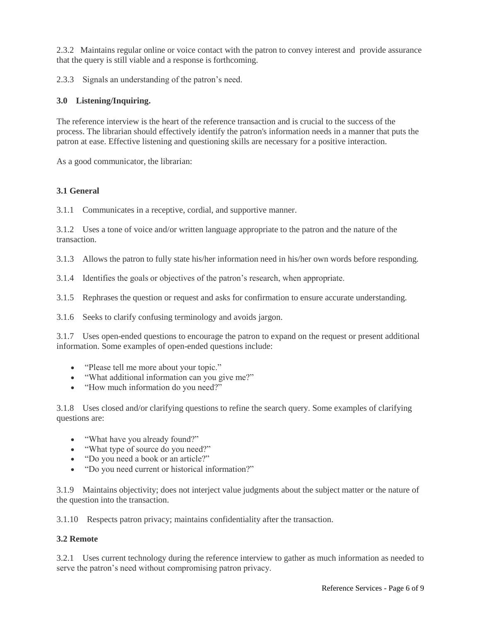2.3.2 Maintains regular online or voice contact with the patron to convey interest and provide assurance that the query is still viable and a response is forthcoming.

2.3.3 Signals an understanding of the patron's need.

## **3.0 Listening/Inquiring.**

The reference interview is the heart of the reference transaction and is crucial to the success of the process. The librarian should effectively identify the patron's information needs in a manner that puts the patron at ease. Effective listening and questioning skills are necessary for a positive interaction.

As a good communicator, the librarian:

## **3.1 General**

3.1.1 Communicates in a receptive, cordial, and supportive manner.

3.1.2 Uses a tone of voice and/or written language appropriate to the patron and the nature of the transaction.

3.1.3 Allows the patron to fully state his/her information need in his/her own words before responding.

3.1.4 Identifies the goals or objectives of the patron's research, when appropriate.

3.1.5 Rephrases the question or request and asks for confirmation to ensure accurate understanding.

3.1.6 Seeks to clarify confusing terminology and avoids jargon.

3.1.7 Uses open-ended questions to encourage the patron to expand on the request or present additional information. Some examples of open-ended questions include:

- "Please tell me more about your topic."
- "What additional information can you give me?"
- "How much information do you need?"

3.1.8 Uses closed and/or clarifying questions to refine the search query. Some examples of clarifying questions are:

- "What have you already found?"
- "What type of source do you need?"
- "Do you need a book or an article?"
- "Do you need current or historical information?"

3.1.9 Maintains objectivity; does not interject value judgments about the subject matter or the nature of the question into the transaction.

3.1.10 Respects patron privacy; maintains confidentiality after the transaction.

## **3.2 Remote**

3.2.1 Uses current technology during the reference interview to gather as much information as needed to serve the patron's need without compromising patron privacy.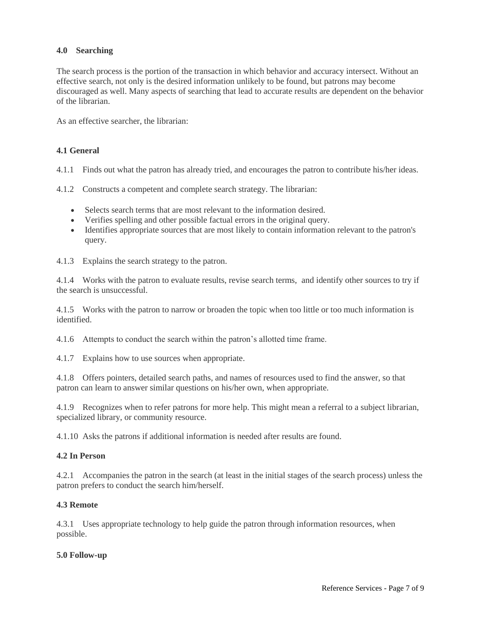## **4.0 Searching**

The search process is the portion of the transaction in which behavior and accuracy intersect. Without an effective search, not only is the desired information unlikely to be found, but patrons may become discouraged as well. Many aspects of searching that lead to accurate results are dependent on the behavior of the librarian.

As an effective searcher, the librarian:

#### **4.1 General**

4.1.1 Finds out what the patron has already tried, and encourages the patron to contribute his/her ideas.

4.1.2 Constructs a competent and complete search strategy. The librarian:

- Selects search terms that are most relevant to the information desired.
- Verifies spelling and other possible factual errors in the original query.
- Identifies appropriate sources that are most likely to contain information relevant to the patron's query.

4.1.3 Explains the search strategy to the patron.

4.1.4 Works with the patron to evaluate results, revise search terms, and identify other sources to try if the search is unsuccessful.

4.1.5 Works with the patron to narrow or broaden the topic when too little or too much information is identified.

4.1.6 Attempts to conduct the search within the patron's allotted time frame.

4.1.7 Explains how to use sources when appropriate.

4.1.8 Offers pointers, detailed search paths, and names of resources used to find the answer, so that patron can learn to answer similar questions on his/her own, when appropriate.

4.1.9 Recognizes when to refer patrons for more help. This might mean a referral to a subject librarian, specialized library, or community resource.

4.1.10 Asks the patrons if additional information is needed after results are found.

#### **4.2 In Person**

4.2.1 Accompanies the patron in the search (at least in the initial stages of the search process) unless the patron prefers to conduct the search him/herself.

#### **4.3 Remote**

4.3.1 Uses appropriate technology to help guide the patron through information resources, when possible.

#### **5.0 Follow-up**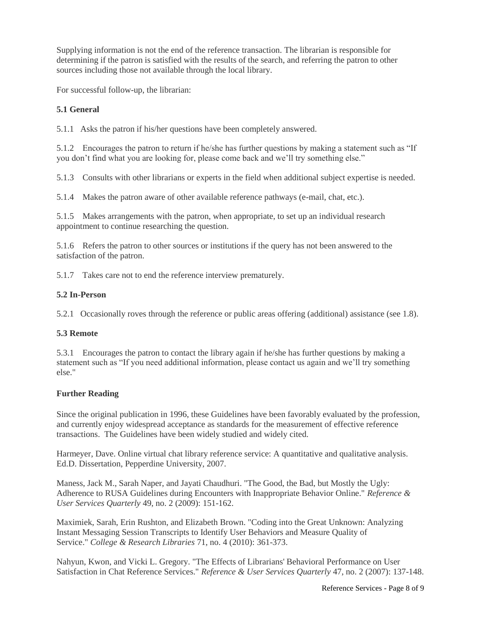Supplying information is not the end of the reference transaction. The librarian is responsible for determining if the patron is satisfied with the results of the search, and referring the patron to other sources including those not available through the local library.

For successful follow-up, the librarian:

## **5.1 General**

5.1.1 Asks the patron if his/her questions have been completely answered.

5.1.2 Encourages the patron to return if he/she has further questions by making a statement such as "If you don't find what you are looking for, please come back and we'll try something else."

5.1.3 Consults with other librarians or experts in the field when additional subject expertise is needed.

5.1.4 Makes the patron aware of other available reference pathways (e-mail, chat, etc.).

5.1.5 Makes arrangements with the patron, when appropriate, to set up an individual research appointment to continue researching the question.

5.1.6 Refers the patron to other sources or institutions if the query has not been answered to the satisfaction of the patron.

5.1.7 Takes care not to end the reference interview prematurely.

## **5.2 In-Person**

5.2.1 Occasionally roves through the reference or public areas offering (additional) assistance (see 1.8).

## **5.3 Remote**

5.3.1 Encourages the patron to contact the library again if he/she has further questions by making a statement such as "If you need additional information, please contact us again and we'll try something else."

## **Further Reading**

Since the original publication in 1996, these Guidelines have been favorably evaluated by the profession, and currently enjoy widespread acceptance as standards for the measurement of effective reference transactions. The Guidelines have been widely studied and widely cited.

Harmeyer, Dave. Online virtual chat library reference service: A quantitative and qualitative analysis. Ed.D. Dissertation, Pepperdine University, 2007.

Maness, Jack M., Sarah Naper, and Jayati Chaudhuri. "The Good, the Bad, but Mostly the Ugly: Adherence to RUSA Guidelines during Encounters with Inappropriate Behavior Online." *Reference & User Services Quarterly* 49, no. 2 (2009): 151-162.

Maximiek, Sarah, Erin Rushton, and Elizabeth Brown. "Coding into the Great Unknown: Analyzing Instant Messaging Session Transcripts to Identify User Behaviors and Measure Quality of Service." *College & Research Libraries* 71, no. 4 (2010): 361-373.

Nahyun, Kwon, and Vicki L. Gregory. "The Effects of Librarians' Behavioral Performance on User Satisfaction in Chat Reference Services." *Reference & User Services Quarterly* 47, no. 2 (2007): 137-148.